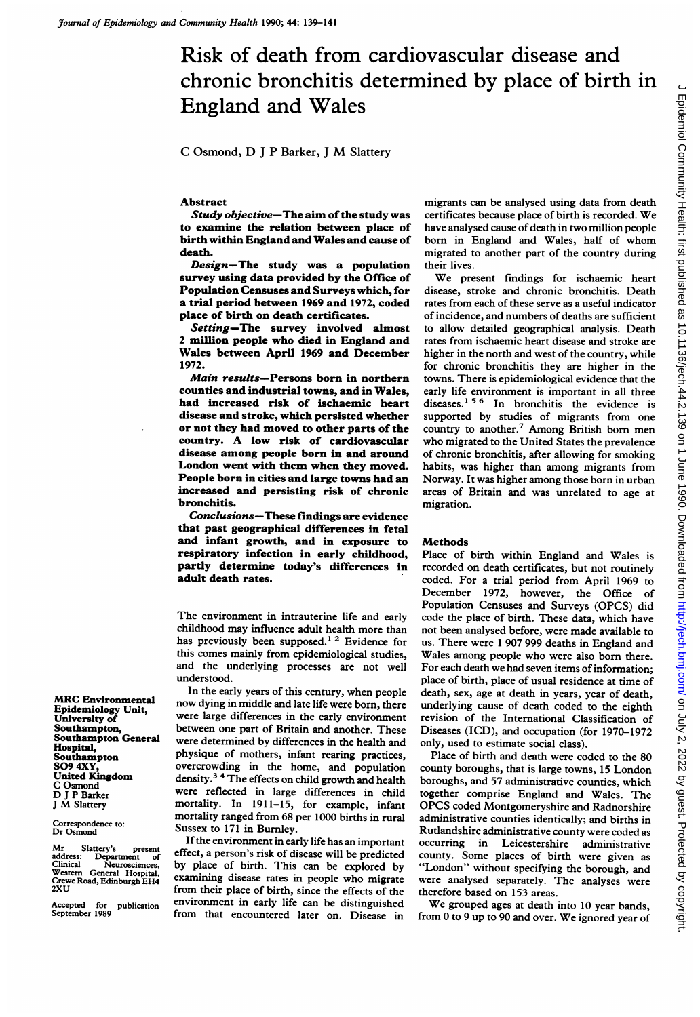# Risk of death from cardiovascular disease and chronic bronchitis determined by place of birth in England and Wales

<sup>C</sup> Osmond, D <sup>J</sup> <sup>P</sup> Barker, <sup>J</sup> M Slattery

## Abstract

Study objective-The aim of the study was to examine the relation between place of birth within England and Wales and cause of death.

Design-The study was a population survey using data provided by the Office of Population Censuses and Surveys which, for a trial period between 1969 and 1972, coded place of birth on death certificates.

Setting-The survey involved almost <sup>2</sup> million people who died in England and Wales between April 1969 and December 1972.

Main results-Persons born in northern counties and industrial towns, and in Wales, had increased risk of ischaemic heart disease and stroke, which persisted whether or not they had moved to other parts of the country. A low risk of cardiovascular disease among people born in and around London went with them when they moved. People born in cities and large towns had an increased and persisting risk of chronic bronchitis.

Conclusions-These findings are evidence that past geographical differences in fetal and infant growth, and in exposure to respiratory infection in early childhood, partly determine today's differences in adult death rates.

The environment in intrauterine life and early childhood may influence adult health more than has previously been supposed.<sup>12</sup> Evidence for this comes mainly from epidemiological studies, and the underlying processes are not well understood.

In the early years of this century, when people now dying in middle and late life were born, there were large differences in the early environment between one part of Britain and another. These were determined by differences in the health and physique of mothers, infant rearing practices, overcrowding in the home, and population density.<sup>34</sup> The effects on child growth and health were reflected in large differences in child mortality. In 1911-15, for example, infant mortality ranged from 68 per 1000 births in rural Sussex to 171 in Burnley.

If the environment in early life has an important effect, a person's risk of disease will be predicted by place of birth. This can be explored by examining disease rates in people who migrate from their place of birth, since the effects of the environment in early life can be distinguished from that encountered later on. Disease in

migrants can be analysed using data from death certificates because place of birth is recorded. We have analysed cause of death in two million people born in England and Wales, half of whom migrated to another part of the country during their lives.

We present findings for ischaemic heart disease, stroke and chronic bronchitis. Death rates from each of these serve as a useful indicator of incidence, and numbers of deaths are sufficient to allow detailed geographical analysis. Death rates from ischaemic heart disease and stroke are higher in the north and west of the country, while for chronic bronchitis they are higher in the towns. There is epidemiological evidence that the early life environment is important in all three diseases.<sup>156</sup> In bronchitis the evidence is supported by studies of migrants from one country to another.7 Among British born men who migrated to the United States the prevalence of chronic bronchitis, after allowing for smoking habits, was higher than among migrants from Norway. It was higher among those born in urban areas of Britain and was unrelated to age at migration.

# Methods

Place of birth within England and Wales is recorded on death certificates, but not routinely coded. For <sup>a</sup> trial period from April 1969 to December 1972, however, the Office of Population Censuses and Surveys (OPCS) did code the place of birth. These data, which have not been analysed before, were made available to us. There were <sup>1</sup> 907 999 deaths in England and Wales among people who were also born there. For each death we had seven items of information; place of birth, place of usual residence at time of death, sex, age at death in years, year of death, underlying cause of death coded to the eighth revision of the International Classification of Diseases (ICD), and occupation (for 1970-1972 only, used to estimate social class).

Place of birth and death were coded to the 80 county boroughs, that is large towns, 15 London boroughs, and 57 administrative counties, which together comprise England and Wales. The OPCS coded Montgomeryshire and Radnorshire administrative counties identically; and births in Rutlandshire administrative county were coded as occurring in Leicestershire administrative county. Some places of birth were given as "London" without specifying the borough, and were analysed separately. The analyses were therefore based on 153 areas.

We grouped ages at death into <sup>10</sup> year bands, from <sup>0</sup> to <sup>9</sup> up to <sup>90</sup> and over. We ignored year of

MRC Environmental Epidemiology Unit, University of Southampton, Southampton General Hospital, Southampton S09 4XY, United Kingdom C Osmond D <sup>J</sup> P Barker <sup>J</sup> M Slattery

Correspondence to: Dr Osmond

Mr Slattery's present address: Departnent of Clinical Neurosciences, Westem General Hospital, Crewe Road, Edinburgh EH4 2XU

Accepted for publication September 1989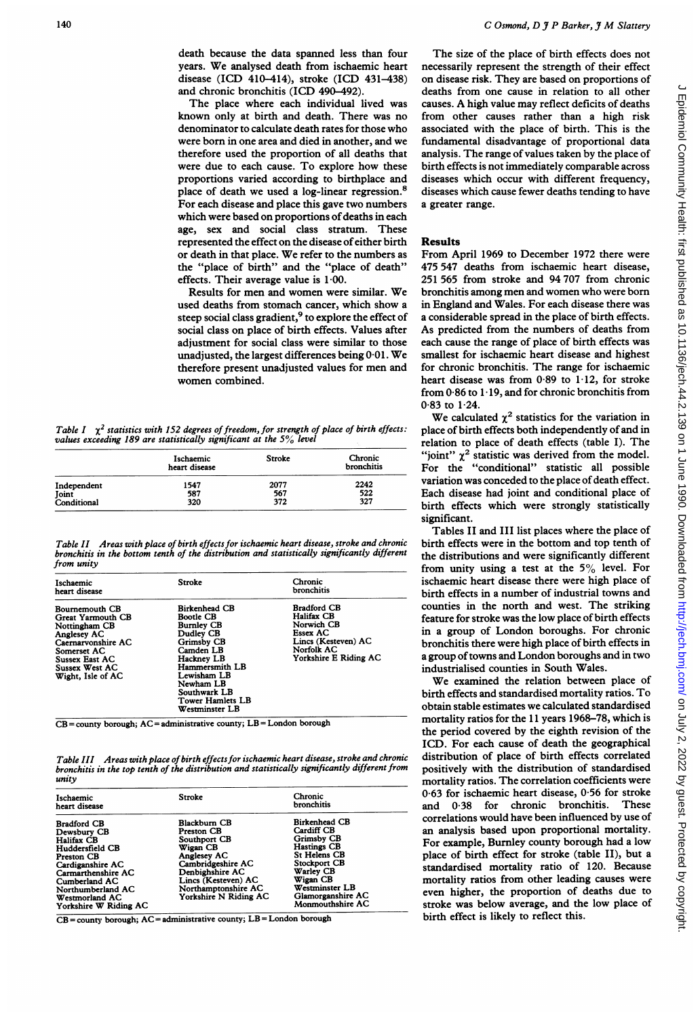death because the data spanned less than four years. We analysed death from ischaemic heart disease (ICD 410-414), stroke (ICD 431-438) and chronic bronchitis (ICD 490-492).

The place where each individual lived was known only at birth and death. There was no denominator to calculate death rates for those who were born in one area and died in another, and we therefore used the proportion of all deaths that were due to each cause. To explore how these proportions varied according to birthplace and place of death we used a log-linear regression.8 For each disease and place this gave two numbers which were based on proportions of deaths in each age, sex and social class stratum. These represented the effect on the disease of either birth or death in that place. We refer to the numbers as the "place of birth" and the "place of death" effects. Their average value is  $1.00$ .

Results for men and women were similar. We used deaths from stomach cancer, which show a steep social class gradient,<sup>9</sup> to explore the effect of social class on place of birth effects. Values after adjustment for social class were similar to those unadjusted, the largest differences being  $0.01$ . We therefore present unadjusted values for men and women combined.

Table I  $\chi^2$  statistics with 152 degrees of freedom, for strength of place of birth effects: values exceeding 189 are statistically significant at the  $5\%$  level

|                      | Ischaemic<br>heart disease | Stroke | Chronic<br>bronchitis |
|----------------------|----------------------------|--------|-----------------------|
| Independent          | 1547                       | 2077   | 2242                  |
|                      | 587                        | 567    | 522                   |
| Joint<br>Conditional | 320                        | 372    | 327                   |

Table II Areas with place of birth effectsfor ischaemic heart disease, stroke and chronic bronchitis in the bottom tenth of the distribution and statistically significantly different from unity

| Ischaemic<br>heart disease                                                                                                                                                      | Stroke                                                                                                                                                                                                                                | Chronic<br>bronchitis                                                                                                           |
|---------------------------------------------------------------------------------------------------------------------------------------------------------------------------------|---------------------------------------------------------------------------------------------------------------------------------------------------------------------------------------------------------------------------------------|---------------------------------------------------------------------------------------------------------------------------------|
| <b>Bournemouth CB</b><br>Great Yarmouth CB<br>Nottingham CB<br>Anglesey AC<br>Caernarvonshire AC<br>Somerset AC<br><b>Sussex East AC</b><br>Sussex West AC<br>Wight, Isle of AC | <b>Birkenhead CB</b><br><b>Bootle CB</b><br><b>Burnley CB</b><br>Dudley CB<br><b>Grimsby CB</b><br>Camden LB<br>Hackney LB<br>Hammersmith LB<br>Lewisham LB<br>Newham LB<br>Southwark LB<br><b>Tower Hamlets LB</b><br>Westminster LB | <b>Bradford CB</b><br><b>Halifax CB</b><br>Norwich CB<br>Essex AC<br>Lincs (Kesteven) AC<br>Norfolk AC<br>Yorkshire E Riding AC |

CB = county borough; AC= administrative county; LB = London borough

Table III Areas with place of birth effects for ischaemic heart disease, stroke and chronic bronchitis in the top tenth of the distribution and statistically significantly different from unity

| Ischaemic<br>heart disease                                                                                                                                                                                  | Stroke                                                                                                                                                                                                    | Chronic<br>bronchitis                                                                                                                                                                                                         |
|-------------------------------------------------------------------------------------------------------------------------------------------------------------------------------------------------------------|-----------------------------------------------------------------------------------------------------------------------------------------------------------------------------------------------------------|-------------------------------------------------------------------------------------------------------------------------------------------------------------------------------------------------------------------------------|
| <b>Bradford CB</b><br>Dewsbury CB<br>Halifax CB<br>Huddersfield CB<br>Preston CB<br>Cardiganshire AC<br>Carmarthenshire AC<br>Cumberland AC<br>Northumberland AC<br>Westmorland AC<br>Yorkshire W Riding AC | <b>Blackburn CB</b><br><b>Preston CB</b><br>Southport CB<br>Wigan CB<br><b>Anglesey AC</b><br>Cambridgeshire AC<br>Denbighshire AC<br>Lincs (Kesteven) AC<br>Northamptonshire AC<br>Yorkshire N Riding AC | <b>Birkenhead CB</b><br><b>Cardiff CB</b><br><b>Grimsby CB</b><br><b>Hastings CB</b><br><b>St Helens CB</b><br>Stockport CB<br><b>Warley CB</b><br>Wigan CB<br><b>Westminster LB</b><br>Glamorganshire AC<br>Monmouthshire AC |

 $\overline{CB}$  = county borough;  $\overline{AC}$  = administrative county;  $\overline{LB}$  = London borough

The size of the place of birth effects does not necessarily represent the strength of their effect on disease risk. They are based on proportions of deaths from one cause in relation to all other causes. A high value may reflect deficits of deaths from other causes rather than a high risk associated with the place of birth. This is the fundamental disadvantage of proportional data analysis. The range of values taken by the place of birth effects is not immediately comparable across diseases which occur with different frequency, diseases which cause fewer deaths tending to have a greater range.

#### Results

From April 1969 to December 1972 there were 475 547 deaths from ischaemic heart disease, 251 565 from stroke and 94 707 from chronic bronchitis among men and women who were born in England and Wales. For each disease there was a considerable spread in the place of birth effects. As predicted from the numbers of deaths from each cause the range of place of birth effects was smallest for ischaemic heart disease and highest for chronic bronchitis. The range for ischaemic heart disease was from 0-89 to 1-12, for stroke from  $0.86$  to  $1.19$ , and for chronic bronchitis from 0.83 to 1-24.

We calculated  $\chi^2$  statistics for the variation in place of birth effects both independently of and in relation to place of death effects (table I). The "joint"  $\chi^2$  statistic was derived from the model. For the "conditional" statistic all possible variation was conceded to the place of death effect. Each disease had joint and conditional place of birth effects which were strongly statistically significant.

Tables II and III list places where the place of birth effects were in the bottom and top tenth of the distributions and were significantly different from unity using a test at the  $5\%$  level. For ischaemic heart disease there were high place of birth effects in a number of industrial towns and counties in the north and west. The striking feature for stroke was the low place of birth effects in a group of London boroughs. For chronic bronchitis there were high place of birth effects in a group of towns and London boroughs and in two industrialised counties in South Wales.

We examined the relation between place of birth effects and standardised mortality ratios. To obtain stable estimates we calculated standardised mortality ratios for the <sup>11</sup> years 1968-78, which is the period covered by the eighth revision of the ICD. For each cause of death the geographical distribution of place of birth effects correlated positively with the distribution of standardised mortality ratios. The correlation coefficients were 0-63 for ischaemic heart disease, 0-56 for stroke and 0-38 for chronic bronchitis. These correlations would have been influenced by use of an analysis based upon proportional mortality. For example, Burnley county borough had <sup>a</sup> low place of birth effect for stroke (table II), but a standardised mortality ratio of 120. Because mortality ratios from other leading causes were even higher, the proportion of deaths due to stroke was below average, and the low place of birth effect is likely to reflect this.